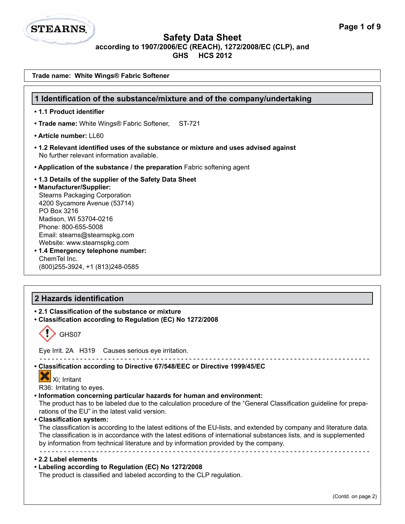

| Trade name: White Wings® Fabric Softener                                                                                                                                                                                                                                                                                                                                                                                                                                                                                                                                                                                                                                                                                                   |  |  |
|--------------------------------------------------------------------------------------------------------------------------------------------------------------------------------------------------------------------------------------------------------------------------------------------------------------------------------------------------------------------------------------------------------------------------------------------------------------------------------------------------------------------------------------------------------------------------------------------------------------------------------------------------------------------------------------------------------------------------------------------|--|--|
| 1 Identification of the substance/mixture and of the company/undertaking                                                                                                                                                                                                                                                                                                                                                                                                                                                                                                                                                                                                                                                                   |  |  |
| • 1.1 Product identifier                                                                                                                                                                                                                                                                                                                                                                                                                                                                                                                                                                                                                                                                                                                   |  |  |
| • Trade name: White Wings® Fabric Softener,<br>ST-721                                                                                                                                                                                                                                                                                                                                                                                                                                                                                                                                                                                                                                                                                      |  |  |
| • Article number: LL60                                                                                                                                                                                                                                                                                                                                                                                                                                                                                                                                                                                                                                                                                                                     |  |  |
| • 1.2 Relevant identified uses of the substance or mixture and uses advised against<br>No further relevant information available.                                                                                                                                                                                                                                                                                                                                                                                                                                                                                                                                                                                                          |  |  |
| • Application of the substance / the preparation Fabric softening agent                                                                                                                                                                                                                                                                                                                                                                                                                                                                                                                                                                                                                                                                    |  |  |
| .1.3 Details of the supplier of the Safety Data Sheet<br>• Manufacturer/Supplier:<br><b>Stearns Packaging Corporation</b><br>4200 Sycamore Avenue (53714)<br>PO Box 3216<br>Madison, WI 53704-0216<br>Phone: 800-655-5008<br>Email: stearns@stearnspkg.com<br>Website: www.stearnspkg.com<br>• 1.4 Emergency telephone number:<br>ChemTel Inc.<br>(800) 255-3924, +1 (813) 248-0585                                                                                                                                                                                                                                                                                                                                                        |  |  |
|                                                                                                                                                                                                                                                                                                                                                                                                                                                                                                                                                                                                                                                                                                                                            |  |  |
| 2 Hazards identification                                                                                                                                                                                                                                                                                                                                                                                                                                                                                                                                                                                                                                                                                                                   |  |  |
| • 2.1 Classification of the substance or mixture<br>• Classification according to Regulation (EC) No 1272/2008<br>GHS07                                                                                                                                                                                                                                                                                                                                                                                                                                                                                                                                                                                                                    |  |  |
| Eye Irrit. 2A H319 Causes serious eye irritation.                                                                                                                                                                                                                                                                                                                                                                                                                                                                                                                                                                                                                                                                                          |  |  |
|                                                                                                                                                                                                                                                                                                                                                                                                                                                                                                                                                                                                                                                                                                                                            |  |  |
| Classification according to Directive 67/548/EEC or Directive 1999/45/EC<br>Xi; Irritant<br>R36: Irritating to eyes.<br>. Information concerning particular hazards for human and environment:<br>The product has to be labeled due to the calculation procedure of the "General Classification guideline for prepa-<br>rations of the EU" in the latest valid version.<br>• Classification system:<br>The classification is according to the latest editions of the EU-lists, and extended by company and literature data.<br>The classification is in accordance with the latest editions of international substances lists, and is supplemented<br>by information from technical literature and by information provided by the company. |  |  |
| • 2.2 Label elements<br>• Labeling according to Regulation (EC) No 1272/2008<br>The product is classified and labeled according to the CLP regulation.                                                                                                                                                                                                                                                                                                                                                                                                                                                                                                                                                                                     |  |  |
| (Contd. on page 2)                                                                                                                                                                                                                                                                                                                                                                                                                                                                                                                                                                                                                                                                                                                         |  |  |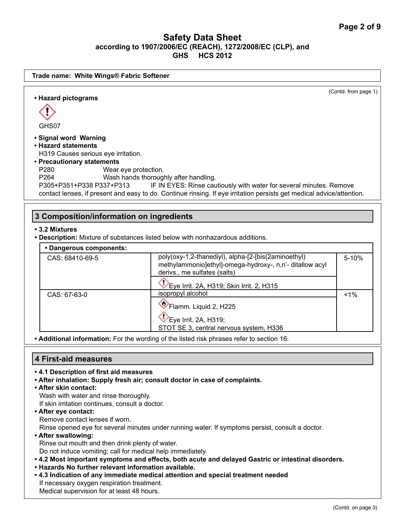

**• Additional information:** For the wording of the listed risk phrases refer to section 16.

## **4 First-aid measures**

- **4.1 Description of first aid measures**
- **After inhalation: Supply fresh air; consult doctor in case of complaints.**
- **After skin contact:**

Wash with water and rinse thoroughly.

If skin irritation continues, consult a doctor.

**• After eye contact:**

Remove contact lenses if worn.

Rinse opened eye for several minutes under running water. If symptoms persist, consult a doctor.

- **After swallowing:**  Rinse out mouth and then drink plenty of water. Do not induce vomiting; call for medical help immediately.
- **4.2 Most important symptoms and effects, both acute and delayed Gastric or intestinal disorders.**
- **Hazards No further relevant information available.**
- **4.3 Indication of any immediate medical attention and special treatment needed** If necessary oxygen respiration treatment. Medical supervision for at least 48 hours.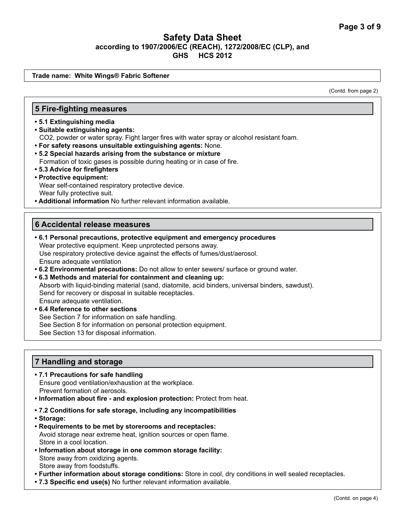**Trade name: White Wings® Fabric Softener**

(Contd. from page 2)

#### **5 Fire-fighting measures**

- **5.1 Extinguishing media**
- **Suitable extinguishing agents:** CO2, powder or water spray. Fight larger fires with water spray or alcohol resistant foam.
- **For safety reasons unsuitable extinguishing agents:** None.
- **5.2 Special hazards arising from the substance or mixture** Formation of toxic gases is possible during heating or in case of fire.
- **5.3 Advice for firefighters**
- **Protective equipment:** Wear self-contained respiratory protective device. Wear fully protective suit.
- **Additional information** No further relevant information available.

#### **6 Accidental release measures**

- **6.1 Personal precautions, protective equipment and emergency procedures** Wear protective equipment. Keep unprotected persons away. Use respiratory protective device against the effects of fumes/dust/aerosol. Ensure adequate ventilation
- **6.2 Environmental precautions:** Do not allow to enter sewers/ surface or ground water.
- **6.3 Methods and material for containment and cleaning up:** Absorb with liquid-binding material (sand, diatomite, acid binders, universal binders, sawdust). Send for recovery or disposal in suitable receptacles. Ensure adequate ventilation.
- **6.4 Reference to other sections** See Section 7 for information on safe handling. See Section 8 for information on personal protection equipment. See Section 13 for disposal information.

## **7 Handling and storage**

- **7.1 Precautions for safe handling** Ensure good ventilation/exhaustion at the workplace. Prevent formation of aerosols.
- **Information about fire and explosion protection:** Protect from heat.
- **7.2 Conditions for safe storage, including any incompatibilities**
- **Storage:**
- **Requirements to be met by storerooms and receptacles:** Avoid storage near extreme heat, ignition sources or open flame. Store in a cool location.
- **Information about storage in one common storage facility:** Store away from oxidizing agents. Store away from foodstuffs.
- **Further information about storage conditions:** Store in cool, dry conditions in well sealed receptacles.
- **7.3 Specific end use(s)** No further relevant information available.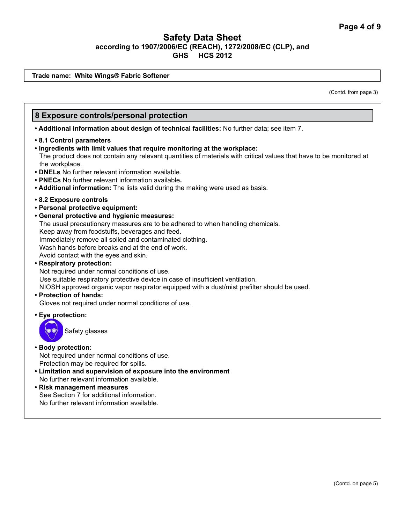**Trade name: White Wings® Fabric Softener**

(Contd. from page 3)

## **8 Exposure controls/personal protection**

**• Additional information about design of technical facilities:** No further data; see item 7.

- **8.1 Control parameters**
- **Ingredients with limit values that require monitoring at the workplace:** The product does not contain any relevant quantities of materials with critical values that have to be monitored at the workplace.
- **DNELs** No further relevant information available.
- **PNECs** No further relevant information available**.**
- **Additional information:** The lists valid during the making were used as basis.
- **8.2 Exposure controls**
- **Personal protective equipment:**
- **General protective and hygienic measures:** 
	- The usual precautionary measures are to be adhered to when handling chemicals.

Keep away from foodstuffs, beverages and feed.

Immediately remove all soiled and contaminated clothing.

Wash hands before breaks and at the end of work.

Avoid contact with the eyes and skin.

**• Respiratory protection:** 

Not required under normal conditions of use.

Use suitable respiratory protective device in case of insufficient ventilation.

NIOSH approved organic vapor respirator equipped with a dust/mist prefilter should be used.

#### **• Protection of hands:**

Gloves not required under normal conditions of use.

**• Eye protection:** 

Safety glasses

#### **• Body protection:**

Not required under normal conditions of use. Protection may be required for spills.

- **Limitation and supervision of exposure into the environment** No further relevant information available.
- **Risk management measures** See Section 7 for additional information. No further relevant information available.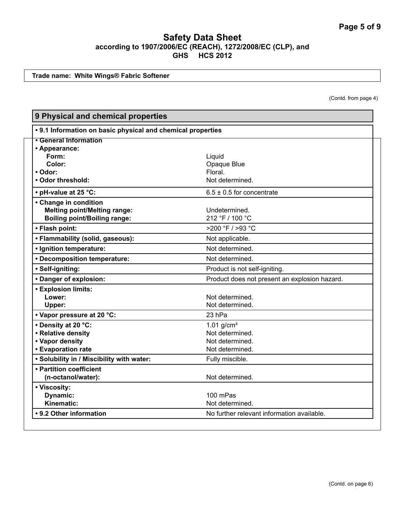**Trade name: White Wings® Fabric Softener**

(Contd. from page 4)

| 9 Physical and chemical properties                                                                  |                                                                                   |  |
|-----------------------------------------------------------------------------------------------------|-----------------------------------------------------------------------------------|--|
| • 9.1 Information on basic physical and chemical properties                                         |                                                                                   |  |
| • General Information<br>• Appearance:                                                              |                                                                                   |  |
| Form:                                                                                               | Liquid                                                                            |  |
| Color:                                                                                              | Opaque Blue                                                                       |  |
| • Odor:                                                                                             | Floral.                                                                           |  |
| • Odor threshold:                                                                                   | Not determined.                                                                   |  |
| • pH-value at 25 °C:                                                                                | $6.5 \pm 0.5$ for concentrate                                                     |  |
| • Change in condition<br><b>Melting point/Melting range:</b><br><b>Boiling point/Boiling range:</b> | Undetermined.<br>212 °F / 100 °C                                                  |  |
| • Flash point:                                                                                      | $>200$ °F / $>93$ °C                                                              |  |
| • Flammability (solid, gaseous):                                                                    | Not applicable.                                                                   |  |
| · Ignition temperature:                                                                             | Not determined.                                                                   |  |
| • Decomposition temperature:                                                                        | Not determined.                                                                   |  |
| · Self-igniting:                                                                                    | Product is not self-igniting.                                                     |  |
| • Danger of explosion:                                                                              | Product does not present an explosion hazard.                                     |  |
| <b>• Explosion limits:</b><br>Lower:<br>Upper:                                                      | Not determined.<br>Not determined.                                                |  |
| • Vapor pressure at 20 °C:                                                                          | 23 hPa                                                                            |  |
| • Density at 20 °C:<br>• Relative density<br>• Vapor density<br>• Evaporation rate                  | $1.01$ g/cm <sup>3</sup><br>Not determined.<br>Not determined.<br>Not determined. |  |
| . Solubility in / Miscibility with water:                                                           | Fully miscible.                                                                   |  |
| • Partition coefficient<br>(n-octanol/water):                                                       | Not determined.                                                                   |  |
| • Viscosity:<br>Dynamic:<br>Kinematic:                                                              | 100 mPas<br>Not determined.                                                       |  |
| • 9.2 Other information                                                                             | No further relevant information available.                                        |  |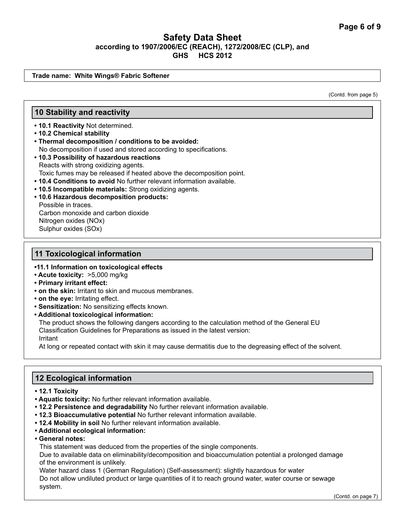**Trade name: White Wings® Fabric Softener**

(Contd. from page 5)

## **10 Stability and reactivity**

- **10.1 Reactivity** Not determined.
- **10.2 Chemical stability**
- **Thermal decomposition / conditions to be avoided:** No decomposition if used and stored according to specifications.
- **10.3 Possibility of hazardous reactions** Reacts with strong oxidizing agents. Toxic fumes may be released if heated above the decomposition point. **• 10.4 Conditions to avoid** No further relevant information available.
- **10.5 Incompatible materials:** Strong oxidizing agents.
- **10.6 Hazardous decomposition products:**

Possible in traces. Carbon monoxide and carbon dioxide Nitrogen oxides (NOx) Sulphur oxides (SOx)

## **11 Toxicological information**

#### **•11.1 Information on toxicological effects**

- **Acute toxicity:** >5,000 mg/kg
- **Primary irritant effect:**
- **on the skin:** Irritant to skin and mucous membranes.
- **on the eye:** Irritating effect.
- **Sensitization:** No sensitizing effects known.
- **Additional toxicological information:**

The product shows the following dangers according to the calculation method of the General EU Classification Guidelines for Preparations as issued in the latest version: Irritant

At long or repeated contact with skin it may cause dermatitis due to the degreasing effect of the solvent.

# **12 Ecological information**

- **12.1 Toxicity**
- **Aquatic toxicity:** No further relevant information available.
- **12.2 Persistence and degradability** No further relevant information available.
- **12.3 Bioaccumulative potential** No further relevant information available.
- **12.4 Mobility in soil** No further relevant information available.
- **Additional ecological information:**
- **General notes:**

This statement was deduced from the properties of the single components.

Due to available data on eliminability/decomposition and bioaccumulation potential a prolonged damage of the environment is unlikely.

Water hazard class 1 (German Regulation) (Self-assessment): slightly hazardous for water Do not allow undiluted product or large quantities of it to reach ground water, water course or sewage system.

(Contd. on page 7)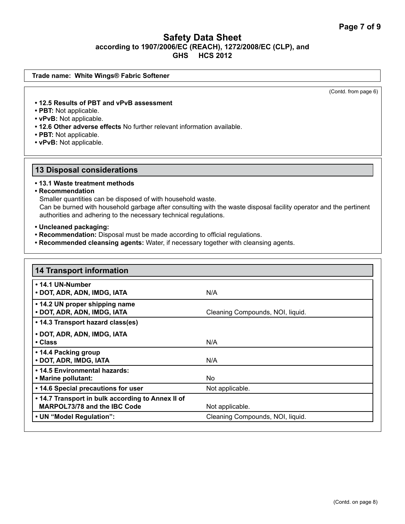# (Contd. from page 6) **Trade name: White Wings® Fabric Softener • 12.5 Results of PBT and vPvB assessment • PBT:** Not applicable. **• vPvB:** Not applicable. **• 12.6 Other adverse effects** No further relevant information available. **• PBT:** Not applicable. **• vPvB:** Not applicable. **13 Disposal considerations • 13.1 Waste treatment methods • Recommendation** Smaller quantities can be disposed of with household waste. Can be burned with household garbage after consulting with the waste disposal facility operator and the pertinent authorities and adhering to the necessary technical regulations.

**• Uncleaned packaging:**

- **Recommendation:** Disposal must be made according to official regulations.
- **Recommended cleansing agents:** Water, if necessary together with cleansing agents.

| <b>14 Transport information</b>                                                          |                                  |
|------------------------------------------------------------------------------------------|----------------------------------|
| • 14.1 UN-Number<br>• DOT, ADR, ADN, IMDG, IATA                                          | N/A                              |
| • 14.2 UN proper shipping name<br>• DOT, ADR, ADN, IMDG, IATA                            | Cleaning Compounds, NOI, liquid. |
| • 14.3 Transport hazard class(es)                                                        |                                  |
| • DOT, ADR, ADN, IMDG, IATA<br>$\cdot$ Class                                             | N/A                              |
| • 14.4 Packing group<br>• DOT, ADR, IMDG, IATA                                           | N/A                              |
| • 14.5 Environmental hazards:<br>• Marine pollutant:                                     | No.                              |
| • 14.6 Special precautions for user                                                      | Not applicable.                  |
| . 14.7 Transport in bulk according to Annex II of<br><b>MARPOL73/78 and the IBC Code</b> | Not applicable.                  |
| • UN "Model Regulation":                                                                 | Cleaning Compounds, NOI, liquid. |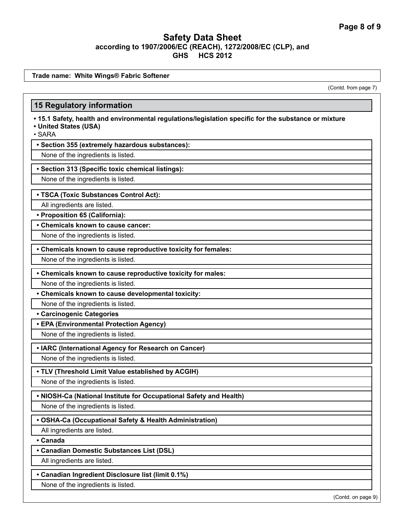**Trade name: White Wings® Fabric Softener**

(Contd. from page 7)

#### **15 Regulatory information**

- **15.1 Safety, health and environmental regulations/legislation specific for the substance or mixture**
- **United States (USA)**

• SARA

#### **• Section 355 (extremely hazardous substances):**

None of the ingredients is listed.

#### **• Section 313 (Specific toxic chemical listings):**

None of the ingredients is listed.

#### **• TSCA (Toxic Substances Control Act):**

All ingredients are listed.

**• Proposition 65 (California):**

**• Chemicals known to cause cancer:**

None of the ingredients is listed.

**• Chemicals known to cause reproductive toxicity for females:**

None of the ingredients is listed.

**• Chemicals known to cause reproductive toxicity for males:**

None of the ingredients is listed.

**• Chemicals known to cause developmental toxicity:**

None of the ingredients is listed.

**• Carcinogenic Categories**

**• EPA (Environmental Protection Agency)**

None of the ingredients is listed.

**• IARC (International Agency for Research on Cancer)**

None of the ingredients is listed.

#### **• TLV (Threshold Limit Value established by ACGIH)**

None of the ingredients is listed.

#### **• NIOSH-Ca (National Institute for Occupational Safety and Health)**

None of the ingredients is listed.

#### **• OSHA-Ca (Occupational Safety & Health Administration)**

All ingredients are listed.

**• Canada**

**• Canadian Domestic Substances List (DSL)**

All ingredients are listed.

**• Canadian Ingredient Disclosure list (limit 0.1%)**

None of the ingredients is listed.